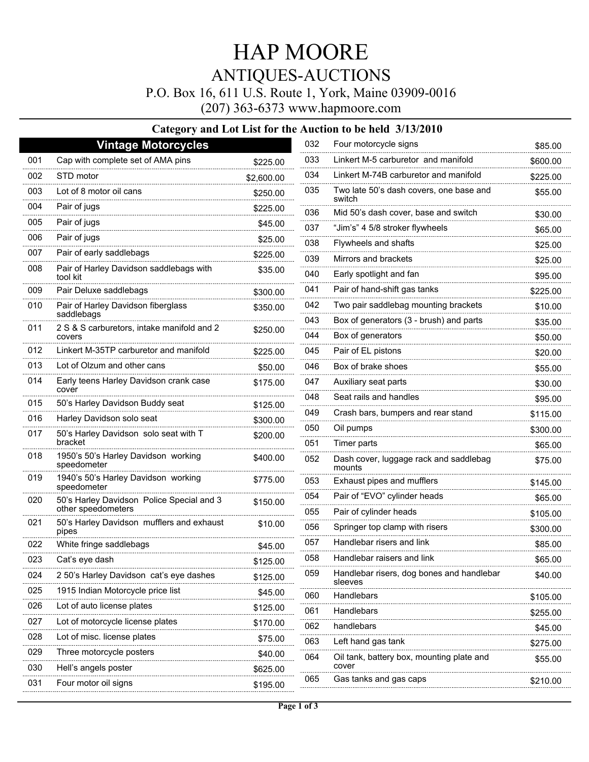# HAP MOORE ANTIQUES-AUCTIONS

P.O. Box 16, 611 U.S. Route 1, York, Maine 03909-0016

(207) 363-6373 www.hapmoore.com

#### **Category and Lot List for the Auction to be held 3/13/2010**

|     | <b>Vintage Motorcycles</b>                               |            | 032                       | Four motorcycle signs                             | \$85.00              |
|-----|----------------------------------------------------------|------------|---------------------------|---------------------------------------------------|----------------------|
| 001 | Cap with complete set of AMA pins                        | \$225.00   | 033                       | Linkert M-5 carburetor and manifold               | \$600.00             |
| 002 | STD motor                                                | \$2,600.00 | 034                       | Linkert M-74B carburetor and manifold             | \$225.00             |
| 003 | Lot of 8 motor oil cans                                  | \$250.00   | 035                       | Two late 50's dash covers, one base and<br>switch |                      |
| 004 | Pair of jugs                                             | \$225.00   | 036                       | Mid 50's dash cover, base and switch              |                      |
| 005 | Pair of jugs                                             | \$45.00    | 037                       | "Jim's" 4 5/8 stroker flywheels                   |                      |
| 006 | Pair of jugs                                             | \$25.00    | 038                       | Flywheels and shafts                              |                      |
| 007 | Pair of early saddlebags                                 | \$225.00   | 039                       | Mirrors and brackets                              |                      |
| 008 | Pair of Harley Davidson saddlebags with<br>tool kit      | \$35.00    | 040                       | Early spotlight and fan                           |                      |
| 009 | Pair Deluxe saddlebags                                   | \$300.00   | 041                       | Pair of hand-shift gas tanks                      | \$225.00             |
| 010 | Pair of Harley Davidson fiberglass                       | \$350.00   | 042                       | Two pair saddlebag mounting brackets              |                      |
| 011 | saddlebags<br>2 S & S carburetors, intake manifold and 2 |            | 043                       | Box of generators (3 - brush) and parts           | \$35.00              |
|     | covers                                                   | \$250.00   | 044                       | Box of generators                                 | \$50.00              |
| 012 | Linkert M-35TP carburetor and manifold                   | \$225.00   | 045                       | Pair of EL pistons                                | \$20.00              |
| 013 | Lot of Olzum and other cans                              | \$50.00    | 046                       | Box of brake shoes                                | \$55.00              |
| 014 | Early teens Harley Davidson crank case<br>cover          | \$175.00   | 047                       | Auxiliary seat parts                              | \$30.00              |
| 015 | 50's Harley Davidson Buddy seat                          | \$125.00   | 048                       | Seat rails and handles                            | \$95.00              |
| 016 | Harley Davidson solo seat                                | \$300.00   | 049<br>                   | Crash bars, bumpers and rear stand                | \$115.00             |
| 017 | 50's Harley Davidson solo seat with T                    | \$200.00   | 050                       | Oil pumps                                         | \$300.00             |
|     | bracket                                                  |            | 051                       | Timer parts                                       | \$65.00              |
| 018 | 1950's 50's Harley Davidson working<br>speedometer       | \$400.00   | 052                       | Dash cover, luggage rack and saddlebag<br>mounts  | \$75.00              |
| 019 | 1940's 50's Harley Davidson working<br>speedometer       | \$775.00   | 053                       | Exhaust pipes and mufflers                        | \$145.00             |
| 020 | 50's Harley Davidson Police Special and 3                | \$150.00   | 054                       | Pair of "EVO" cylinder heads                      | \$65.00              |
|     | other speedometers                                       |            | 055                       | Pair of cylinder heads                            | \$105.00             |
| 021 | 50's Harley Davidson mufflers and exhaust<br>pipes       | \$10.00    | 056                       | Springer top clamp with risers                    | \$300.00             |
| 022 | White fringe saddlebags                                  | \$45.00    | 057                       | Handlebar risers and link                         | \$85.00              |
| 023 | Cat's eye dash                                           | \$125.00   | 058                       | Handlebar raisers and link                        | \$65.00              |
| 024 | 2 50's Harley Davidson cat's eye dashes                  | \$125.00   | 059                       | Handlebar risers, dog bones and handlebar         | \$40.00              |
| 025 | 1915 Indian Motorcycle price list                        | \$45.00    | 060                       | sleeves<br>Handlebars                             |                      |
| 026 | Lot of auto license plates                               | \$125.00   | 061                       | Handlebars                                        | \$105.00<br>\$255.00 |
| 027 | Lot of motorcycle license plates                         | \$170.00   | 062                       | handlebars                                        | \$45.00              |
| 028 | Lot of misc. license plates                              | \$75.00    | 063<br>Left hand gas tank |                                                   | \$275.00             |
| 029 | Three motorcycle posters                                 | \$40.00    | 064                       | Oil tank, battery box, mounting plate and         | \$55.00              |
| 030 | Hell's angels poster                                     | \$625.00   |                           | cover                                             |                      |
| 031 | Four motor oil signs                                     | \$195.00   | 065                       | Gas tanks and gas caps                            | \$210.00             |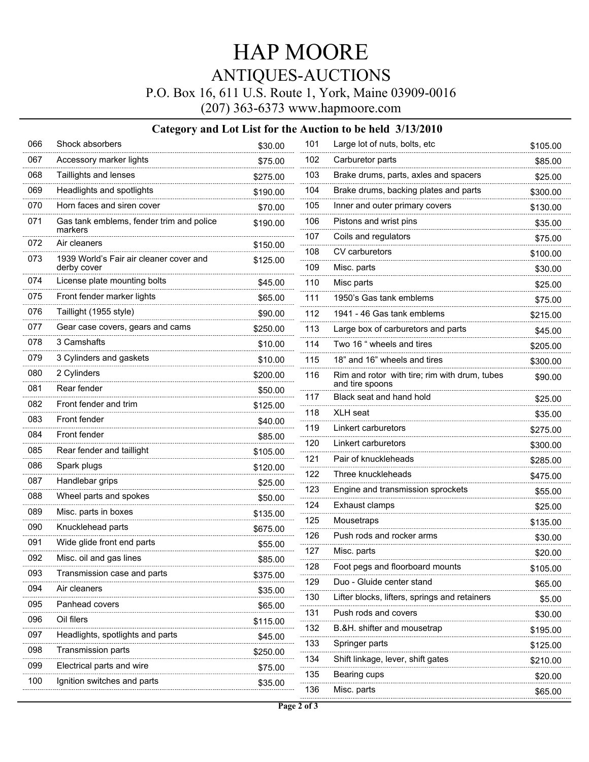## HAP MOORE ANTIQUES-AUCTIONS

P.O. Box 16, 611 U.S. Route 1, York, Maine 03909-0016

(207) 363-6373 www.hapmoore.com

### **Category and Lot List for the Auction to be held 3/13/2010**

| 066 | Shock absorbers                                     | \$30.00             | 101                                      | Large lot of nuts, bolts, etc                 | \$105.00             |
|-----|-----------------------------------------------------|---------------------|------------------------------------------|-----------------------------------------------|----------------------|
| 067 | Accessory marker lights                             | \$75.00             | 102                                      | Carburetor parts                              |                      |
| 068 | Taillights and lenses                               | \$275.00            | 103                                      | Brake drums, parts, axles and spacers         | \$25.00              |
| 069 | Headlights and spotlights                           | \$190.00            | 104                                      | Brake drums, backing plates and parts         | \$300.00             |
| 070 | Horn faces and siren cover                          | \$70.00             | 105                                      | Inner and outer primary covers                | \$130.00             |
| 071 | Gas tank emblems, fender trim and police<br>markers | \$190.00            | 106                                      | Pistons and wrist pins                        | \$35.00              |
| 072 | Air cleaners                                        | \$150.00            | 107                                      | Coils and regulators                          | \$75.00              |
| 073 | 1939 World's Fair air cleaner cover and             |                     | 108                                      | CV carburetors                                | \$100.00             |
|     | derby cover                                         | \$125.00            | 109                                      | Misc. parts                                   | \$30.00              |
| 074 | License plate mounting bolts                        | \$45.00             | 110                                      | Misc parts                                    | \$25.00              |
| 075 | Front fender marker lights                          | \$65.00             | 111                                      | 1950's Gas tank emblems                       | \$75.00              |
| 076 | Taillight (1955 style)                              | \$90.00             | 112                                      | 1941 - 46 Gas tank emblems                    | \$215.00             |
| 077 | Gear case covers, gears and cams                    | \$250.00            | 113                                      | Large box of carburetors and parts            | \$45.00              |
| 078 | 3 Camshafts                                         | \$10.00             | 114                                      | Two 16 " wheels and tires                     | \$205.00             |
| 079 | 3 Cylinders and gaskets                             | \$10.00             | 115                                      | 18" and 16" wheels and tires                  | \$300.00             |
| 080 | 2 Cylinders                                         | \$200.00            | 116                                      | Rim and rotor with tire; rim with drum, tubes | \$90.00              |
| 081 | Rear fender                                         | \$50.00             |                                          | and tire spoons                               |                      |
| 082 | Front fender and trim                               | \$125.00            | 117                                      | Black seat and hand hold                      | \$25.00              |
| 083 | Front fender                                        | \$40.00             | 118                                      | <b>XLH</b> seat                               | \$35.00              |
| 084 | Front fender                                        | \$85.00             | 119<br>.                                 | Linkert carburetors                           | \$275.00<br>\$300.00 |
| 085 | Rear fender and taillight                           | \$105.00            | 120                                      | Linkert carburetors                           |                      |
| 086 | Spark plugs                                         | \$120.00            |                                          | 121<br>Pair of knuckleheads                   |                      |
| 087 | Handlebar grips                                     | \$25.00             | 122                                      | Three knuckleheads                            | \$475.00             |
| 088 | Wheel parts and spokes                              | \$50.00             | 123                                      | Engine and transmission sprockets             | \$55.00              |
| 089 | Misc. parts in boxes                                | \$135.00            | 124                                      | Exhaust clamps                                | \$25.00              |
| 090 | Knucklehead parts                                   | \$675.00            | 125                                      | Mousetraps                                    | \$135.00             |
| 091 | Wide glide front end parts                          | \$55.00             | 126                                      | Push rods and rocker arms                     | \$30.00              |
| 092 | Misc. oil and gas lines                             | \$85.00             | 127                                      | Misc. parts                                   | \$20.00              |
| 093 | Transmission case and parts                         | \$375.00            | 128                                      | Foot pegs and floorboard mounts               | \$105.00             |
| 094 | Air cleaners                                        | \$35.00             | 129                                      | Duo - Gluide center stand                     | \$65.00              |
| 095 | Panhead covers                                      | \$65.00             | 130                                      | Lifter blocks, lifters, springs and retainers | \$5.00               |
| 096 | Oil filers                                          |                     | 131                                      | Push rods and covers                          | \$30.00              |
| 097 | Headlights, spotlights and parts                    | \$115.00<br>\$45.00 | 132                                      | B.&H. shifter and mousetrap                   | \$195.00             |
| 098 | Transmission parts                                  | \$250.00            | 133                                      | Springer parts                                | \$125.00             |
| 099 | Electrical parts and wire                           |                     | 134<br>Shift linkage, lever, shift gates |                                               | \$210.00             |
| 100 | Ignition switches and parts                         | \$75.00<br>\$35.00  | 135                                      | Bearing cups                                  | \$20.00              |
|     |                                                     |                     | 136                                      | Misc. parts                                   | \$65.00              |